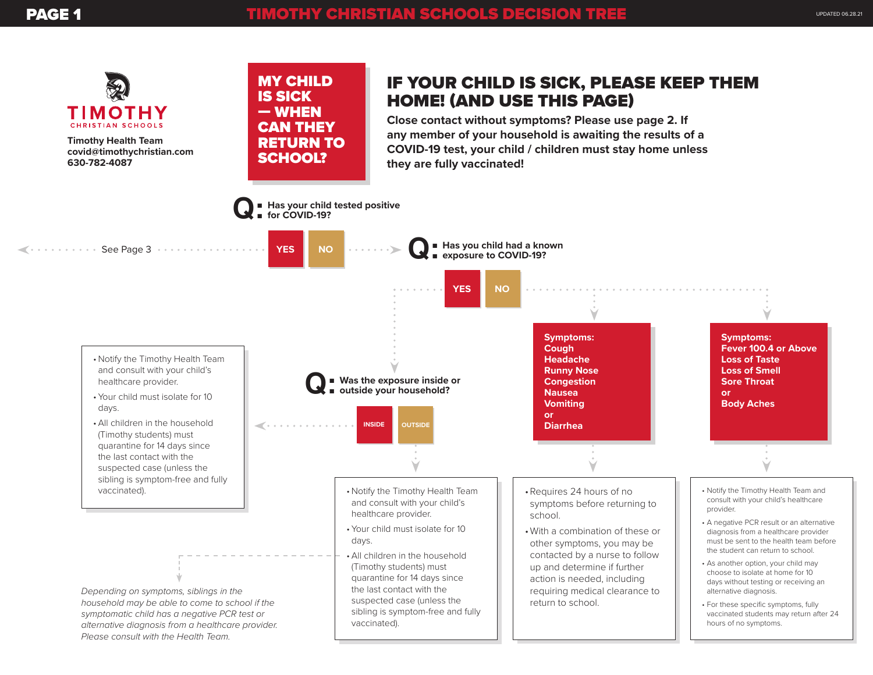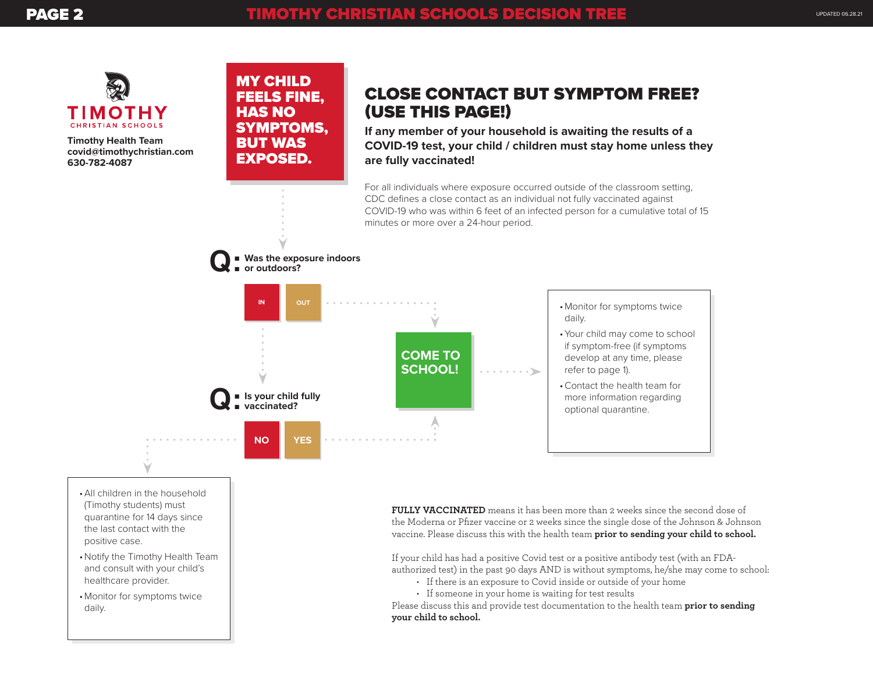

MY CHILD FEELS FINE, HAS NO

SYMPTOMS, BUT WAS EXPOSED.

**Timothy Health Team covid@timothychristian.com 630-782-4087**

## CLOSE CONTACT BUT SYMPTOM FREE? (USE THIS PAGE!)

**If any member of your household is awaiting the results of a COVID-19 test, your child / children must stay home unless they are fully vaccinated!**

For all individuals where exposure occurred outside of the classroom setting, CDC defines a close contact as an individual not fully vaccinated against COVID-19 who was within 6 feet of an infected person for a cumulative total of 15 minutes or more over a 24-hour period.



- •All children in the household (Timothy students) must quarantine for 14 days since the last contact with the positive case.
- •Notify the Timothy Health Team and consult with your child's healthcare provider.
- •Monitor for symptoms twice daily.

**FULLY VACCINATED** means it has been more than 2 weeks since the second dose of the Moderna or Pfizer vaccine or 2 weeks since the single dose of the Johnson & Johnson vaccine. Please discuss this with the health team **prior to sending your child to school.** 

If your child has had a positive Covid test or a positive antibody test (with an FDAauthorized test) in the past 90 days AND is without symptoms, he/she may come to school:

- If there is an exposure to Covid inside or outside of your home
- If someone in your home is waiting for test results

Please discuss this and provide test documentation to the health team **prior to sending your child to school.**